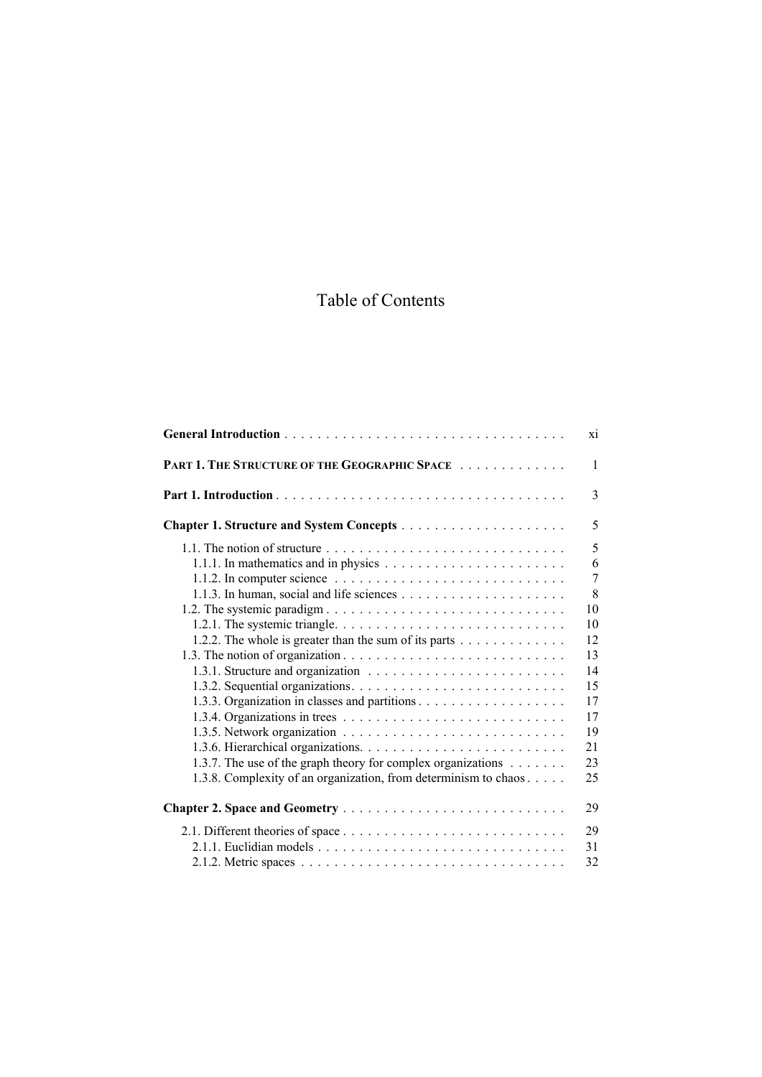## Table of Contents

|                                                                                                                                                                                                                                                                                                                                                                                                                                                                                           | X1                                                                                                    |
|-------------------------------------------------------------------------------------------------------------------------------------------------------------------------------------------------------------------------------------------------------------------------------------------------------------------------------------------------------------------------------------------------------------------------------------------------------------------------------------------|-------------------------------------------------------------------------------------------------------|
| PART 1. THE STRUCTURE OF THE GEOGRAPHIC SPACE                                                                                                                                                                                                                                                                                                                                                                                                                                             | $\mathbf{1}$                                                                                          |
|                                                                                                                                                                                                                                                                                                                                                                                                                                                                                           | 3                                                                                                     |
|                                                                                                                                                                                                                                                                                                                                                                                                                                                                                           | 5                                                                                                     |
| 1.1. The notion of structure $\ldots \ldots \ldots \ldots \ldots \ldots \ldots \ldots \ldots$<br>1.1.1. In mathematics and in physics $\dots \dots \dots \dots \dots \dots \dots \dots$<br>1.1.2. In computer science $\ldots \ldots \ldots \ldots \ldots \ldots \ldots \ldots \ldots \ldots$<br>1.2.2. The whole is greater than the sum of its parts<br>1.3.7. The use of the graph theory for complex organizations<br>1.3.8. Complexity of an organization, from determinism to chaos | 5<br>6<br>$\overline{7}$<br>8<br>10<br>10<br>12<br>13<br>14<br>15<br>17<br>17<br>19<br>21<br>23<br>25 |
|                                                                                                                                                                                                                                                                                                                                                                                                                                                                                           | 29                                                                                                    |
|                                                                                                                                                                                                                                                                                                                                                                                                                                                                                           | 29<br>31<br>32                                                                                        |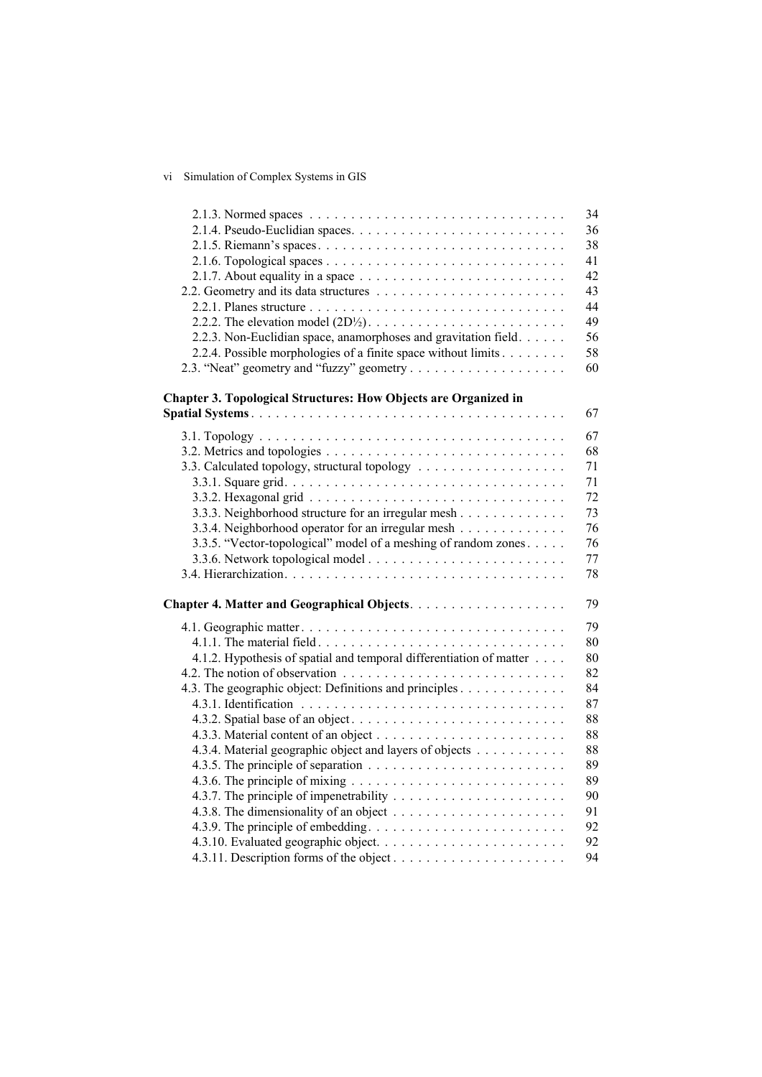## vi Simulation of Complex Systems in GIS

|                                                                                            | 34 |
|--------------------------------------------------------------------------------------------|----|
|                                                                                            | 36 |
|                                                                                            | 38 |
|                                                                                            | 41 |
| 2.1.7. About equality in a space $\ldots \ldots \ldots \ldots \ldots \ldots \ldots \ldots$ | 42 |
|                                                                                            | 43 |
|                                                                                            | 44 |
|                                                                                            | 49 |
| 2.2.3. Non-Euclidian space, anamorphoses and gravitation field.                            | 56 |
| 2.2.4. Possible morphologies of a finite space without limits                              | 58 |
|                                                                                            | 60 |
| <b>Chapter 3. Topological Structures: How Objects are Organized in</b>                     |    |
|                                                                                            | 67 |
|                                                                                            | 67 |
|                                                                                            | 68 |
|                                                                                            | 71 |
| 3.3. Calculated topology, structural topology                                              | 71 |
|                                                                                            | 72 |
| 3.3.3. Neighborhood structure for an irregular mesh                                        | 73 |
| 3.3.4. Neighborhood operator for an irregular mesh                                         | 76 |
| 3.3.5. "Vector-topological" model of a meshing of random zones.                            | 76 |
|                                                                                            | 77 |
|                                                                                            | 78 |
|                                                                                            |    |
|                                                                                            | 79 |
|                                                                                            | 79 |
|                                                                                            | 80 |
| 4.1.2. Hypothesis of spatial and temporal differentiation of matter                        | 80 |
|                                                                                            | 82 |
| 4.3. The geographic object: Definitions and principles                                     | 84 |
|                                                                                            | 87 |
|                                                                                            | 88 |
|                                                                                            | 88 |
| 4.3.4. Material geographic object and layers of objects                                    | 88 |
|                                                                                            | 89 |
|                                                                                            | 89 |
|                                                                                            | 90 |
|                                                                                            | 91 |
|                                                                                            | 92 |
|                                                                                            | 92 |
| 4.3.11. Description forms of the object                                                    | 94 |
|                                                                                            |    |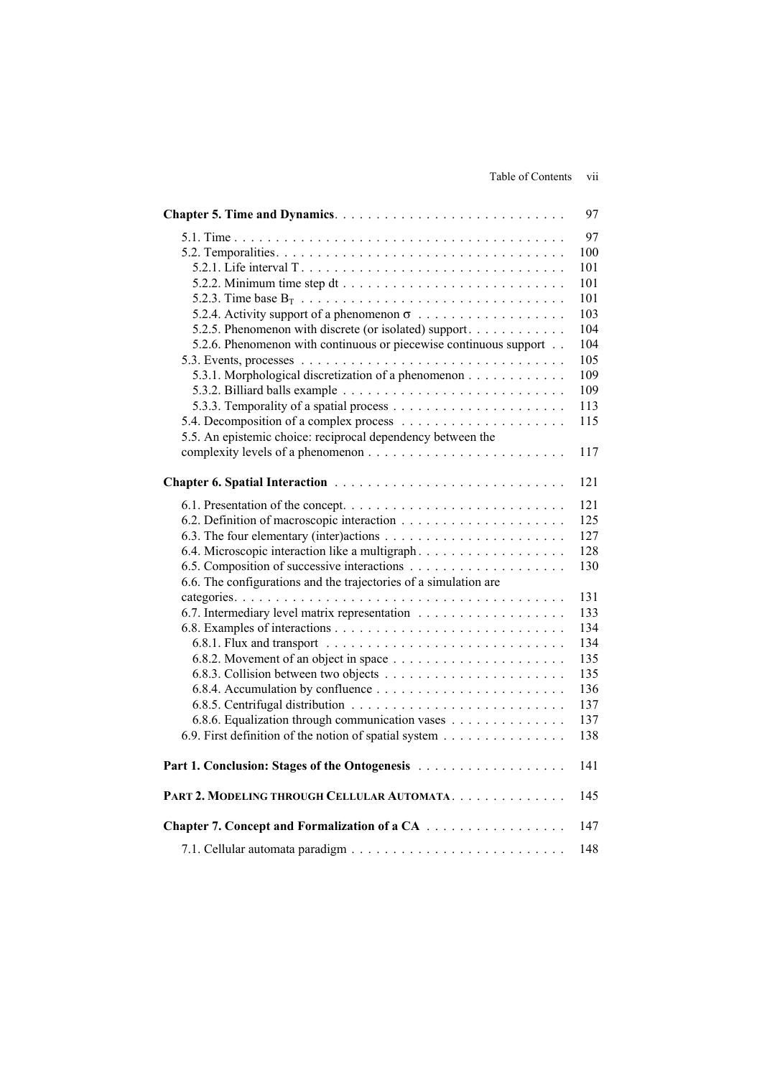|                                                                                                                                                                                                                                | 97                                                                                                    |
|--------------------------------------------------------------------------------------------------------------------------------------------------------------------------------------------------------------------------------|-------------------------------------------------------------------------------------------------------|
| 5.2.5. Phenomenon with discrete (or isolated) support.<br>5.2.6. Phenomenon with continuous or piecewise continuous support<br>5.3.1. Morphological discretization of a phenomenon                                             | 97<br>100<br>101<br>101<br>101<br>103<br>104<br>104<br>105<br>109<br>109<br>113                       |
|                                                                                                                                                                                                                                | 115                                                                                                   |
| 5.5. An epistemic choice: reciprocal dependency between the                                                                                                                                                                    |                                                                                                       |
|                                                                                                                                                                                                                                | 117                                                                                                   |
|                                                                                                                                                                                                                                |                                                                                                       |
|                                                                                                                                                                                                                                | 121                                                                                                   |
| 6.4. Microscopic interaction like a multigraph<br>6.6. The configurations and the trajectories of a simulation are<br>6.8.6. Equalization through communication vases<br>6.9. First definition of the notion of spatial system | 121<br>125<br>127<br>128<br>130<br>131<br>133<br>134<br>134<br>135<br>135<br>136<br>137<br>137<br>138 |
| Part 1. Conclusion: Stages of the Ontogenesis                                                                                                                                                                                  | 141                                                                                                   |
| PART 2. MODELING THROUGH CELLULAR AUTOMATA.                                                                                                                                                                                    | 145                                                                                                   |
| Chapter 7. Concept and Formalization of a CA                                                                                                                                                                                   | 147                                                                                                   |
|                                                                                                                                                                                                                                | 148                                                                                                   |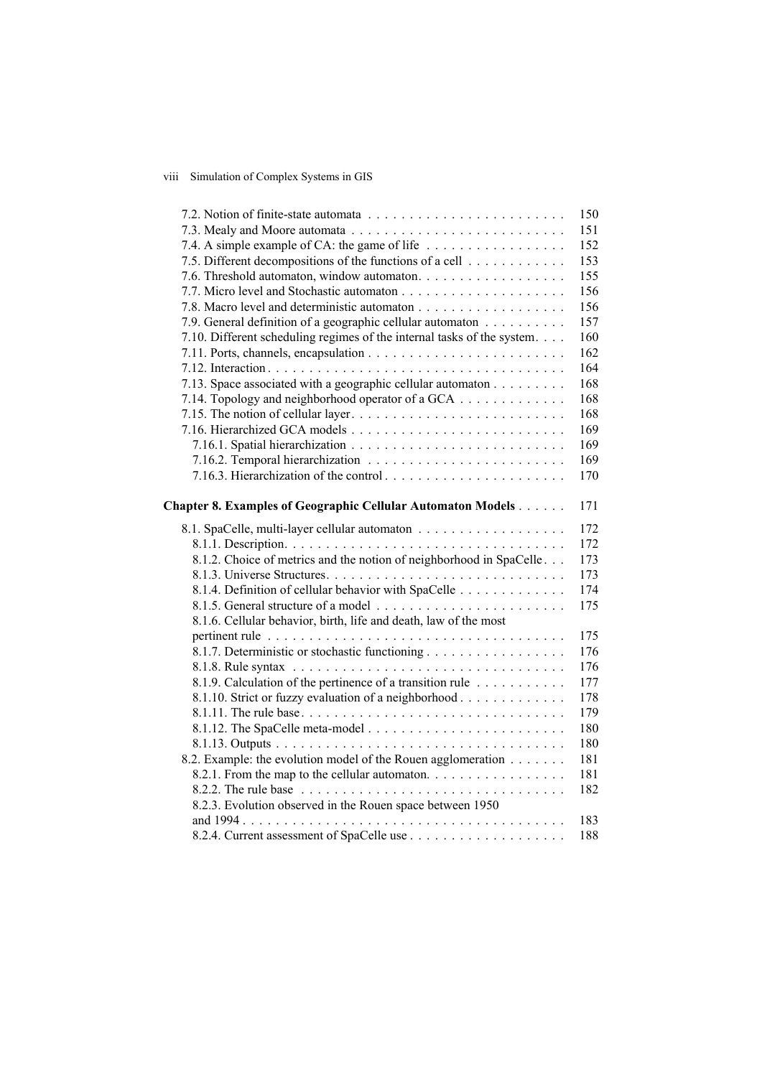## viii Simulation of Complex Systems in GIS

|                                                                         | 150 |
|-------------------------------------------------------------------------|-----|
|                                                                         | 151 |
| 7.4. A simple example of CA: the game of life                           | 152 |
| 7.5. Different decompositions of the functions of a cell                | 153 |
| 7.6. Threshold automaton, window automaton.                             | 155 |
|                                                                         | 156 |
|                                                                         | 156 |
| 7.9. General definition of a geographic cellular automaton              | 157 |
| 7.10. Different scheduling regimes of the internal tasks of the system. | 160 |
|                                                                         | 162 |
|                                                                         | 164 |
| 7.13. Space associated with a geographic cellular automaton             | 168 |
| 7.14. Topology and neighborhood operator of a GCA                       | 168 |
|                                                                         | 168 |
|                                                                         | 169 |
|                                                                         | 169 |
|                                                                         | 169 |
|                                                                         | 170 |
|                                                                         |     |
| Chapter 8. Examples of Geographic Cellular Automaton Models             | 171 |
|                                                                         | 172 |
|                                                                         | 172 |
| 8.1.2. Choice of metrics and the notion of neighborhood in SpaCelle.    | 173 |
|                                                                         | 173 |
| 8.1.4. Definition of cellular behavior with SpaCelle                    | 174 |
|                                                                         | 175 |
| 8.1.6. Cellular behavior, birth, life and death, law of the most        |     |
|                                                                         | 175 |
| 8.1.7. Deterministic or stochastic functioning                          | 176 |
|                                                                         | 176 |
| 8.1.9. Calculation of the pertinence of a transition rule               | 177 |
| 8.1.10. Strict or fuzzy evaluation of a neighborhood                    | 178 |
| 8.1.11. The rule base                                                   | 179 |
|                                                                         | 180 |
|                                                                         | 180 |
| 8.2. Example: the evolution model of the Rouen agglomeration            | 181 |
| 8.2.1. From the map to the cellular automaton.                          | 181 |
|                                                                         | 182 |
| 8.2.3. Evolution observed in the Rouen space between 1950               |     |
|                                                                         | 183 |
|                                                                         | 188 |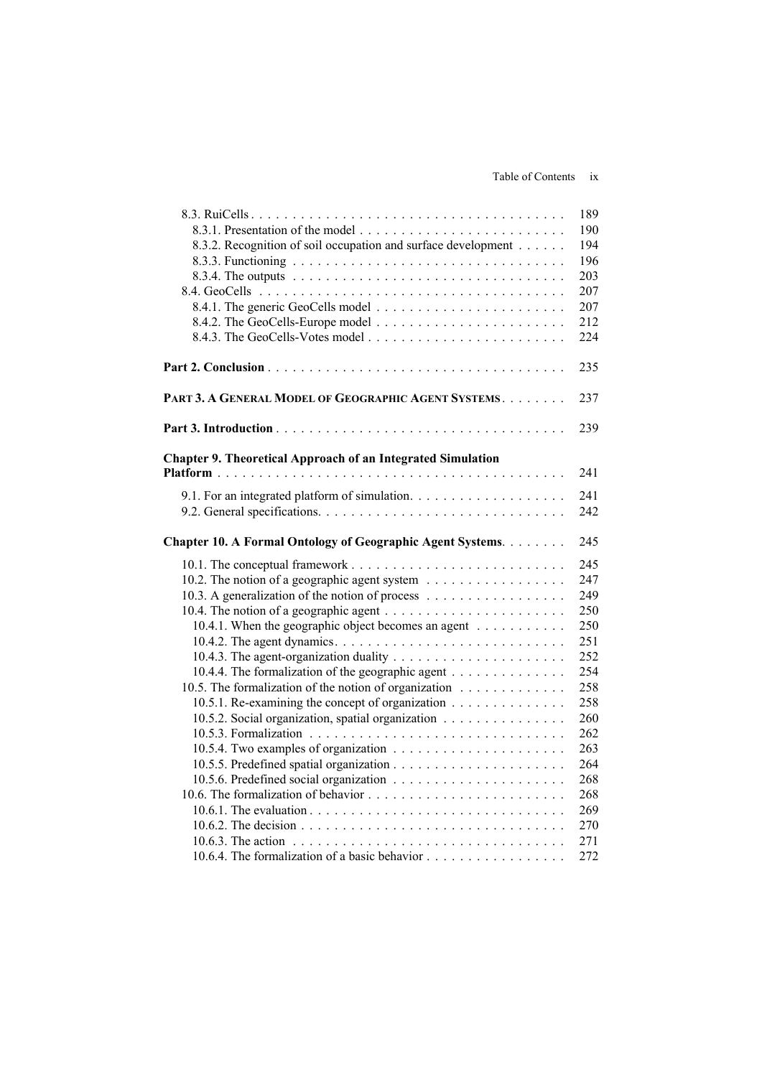|                                                                    | 189 |
|--------------------------------------------------------------------|-----|
|                                                                    | 190 |
| 8.3.2. Recognition of soil occupation and surface development      | 194 |
|                                                                    | 196 |
|                                                                    | 203 |
|                                                                    | 207 |
|                                                                    | 207 |
|                                                                    | 212 |
|                                                                    | 224 |
|                                                                    | 235 |
| PART 3. A GENERAL MODEL OF GEOGRAPHIC AGENT SYSTEMS.               | 237 |
|                                                                    | 239 |
| <b>Chapter 9. Theoretical Approach of an Integrated Simulation</b> |     |
|                                                                    | 241 |
|                                                                    | 241 |
|                                                                    | 242 |
| Chapter 10. A Formal Ontology of Geographic Agent Systems.         | 245 |
|                                                                    | 245 |
| 10.2. The notion of a geographic agent system                      | 247 |
|                                                                    | 249 |
|                                                                    | 250 |
| 10.4.1. When the geographic object becomes an agent                | 250 |
|                                                                    | 251 |
|                                                                    | 252 |
| 10.4.4. The formalization of the geographic agent                  | 254 |
| 10.5. The formalization of the notion of organization              | 258 |
| 10.5.1. Re-examining the concept of organization                   | 258 |
| 10.5.2. Social organization, spatial organization                  | 260 |
|                                                                    | 262 |
|                                                                    | 263 |
|                                                                    | 264 |
|                                                                    | 268 |
|                                                                    | 268 |
|                                                                    | 269 |
|                                                                    | 270 |
|                                                                    | 271 |
|                                                                    | 272 |